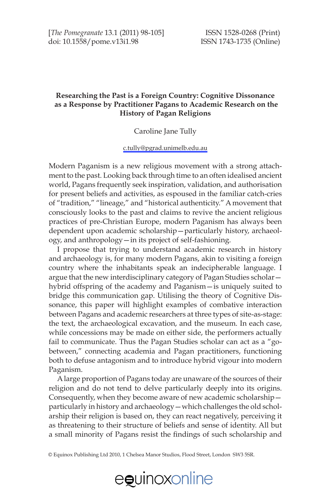#### **Researching the Past is a Foreign Country: Cognitive Dissonance as a Response by Practitioner Pagans to Academic Research on the History of Pagan Religions**

#### Caroline Jane Tully

[c.tully@pgrad.unimelb.edu.au](mailto:c.tully@pgrad.unimelb.edu.au)

Modern Paganism is a new religious movement with a strong attachment to the past. Looking back through time to an often idealised ancient world, Pagans frequently seek inspiration, validation, and authorisation for present beliefs and activities, as espoused in the familiar catch-cries of "tradition," "lineage," and "historical authenticity." A movement that consciously looks to the past and claims to revive the ancient religious practices of pre-Christian Europe, modern Paganism has always been dependent upon academic scholarship—particularly history, archaeology, and anthropology—in its project of self-fashioning.

I propose that trying to understand academic research in history and archaeology is, for many modern Pagans, akin to visiting a foreign country where the inhabitants speak an indecipherable language. I argue that the new interdisciplinary category of Pagan Studies scholar hybrid offspring of the academy and Paganism—is uniquely suited to bridge this communication gap. Utilising the theory of Cognitive Dissonance, this paper will highlight examples of combative interaction between Pagans and academic researchers at three types of site-as-stage: the text, the archaeological excavation, and the museum. In each case, while concessions may be made on either side, the performers actually fail to communicate. Thus the Pagan Studies scholar can act as a "gobetween," connecting academia and Pagan practitioners, functioning both to defuse antagonism and to introduce hybrid vigour into modern Paganism.

A large proportion of Pagans today are unaware of the sources of their religion and do not tend to delve particularly deeply into its origins. Consequently, when they become aware of new academic scholarship particularly in history and archaeology—which challenges the old scholarship their religion is based on, they can react negatively, perceiving it as threatening to their structure of beliefs and sense of identity. All but a small minority of Pagans resist the findings of such scholarship and

© Equinox Publishing Ltd 2010, 1 Chelsea Manor Studios, Flood Street, London SW3 5SR.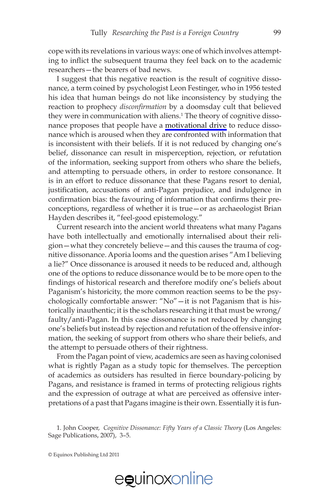cope with its revelations in various ways: one of which involves attempting to inflict the subsequent trauma they feel back on to the academic researchers—the bearers of bad news.

I suggest that this negative reaction is the result of cognitive dissonance, a term coined by psychologist Leon Festinger, who in 1956 tested his idea that human beings do not like inconsistency by studying the reaction to prophecy *disconfirmation* by a doomsday cult that believed they were in communication with aliens.<sup>1</sup> The theory of cognitive dissonance proposes that people have a [motivational drive](http://en.wikipedia.org/wiki/Drive_theory) to reduce dissonance which is aroused when they are confronted with information that is inconsistent with their beliefs. If it is not reduced by changing one's belief, dissonance can result in misperception, rejection, or refutation of the information, seeking support from others who share the beliefs, and attempting to persuade others, in order to restore consonance. It is in an effort to reduce dissonance that these Pagans resort to denial, justification, accusations of anti-Pagan prejudice, and indulgence in confirmation bias: the favouring of information that confirms their preconceptions, regardless of whether it is true—or as archaeologist Brian Hayden describes it, "feel-good epistemology."

Current research into the ancient world threatens what many Pagans have both intellectually and emotionally internalised about their religion—what they concretely believe—and this causes the trauma of cognitive dissonance. Aporia looms and the question arises "Am I believing a lie?" Once dissonance is aroused it needs to be reduced and, although one of the options to reduce dissonance would be to be more open to the findings of historical research and therefore modify one's beliefs about Paganism's historicity, the more common reaction seems to be the psychologically comfortable answer: "No"—it is not Paganism that is historically inauthentic; it is the scholars researching it that must be wrong/ faulty/anti-Pagan. In this case dissonance is not reduced by changing one's beliefs but instead by rejection and refutation of the offensive information, the seeking of support from others who share their beliefs, and the attempt to persuade others of their rightness.

From the Pagan point of view, academics are seen as having colonised what is rightly Pagan as a study topic for themselves. The perception of academics as outsiders has resulted in fierce boundary-policing by Pagans, and resistance is framed in terms of protecting religious rights and the expression of outrage at what are perceived as offensive interpretations of a past that Pagans imagine is their own. Essentially it is fun-

© Equinox Publishing Ltd 2011

<sup>1.</sup> John Cooper, *Cognitive Dissonance: Fifty Years of a Classic Theory* (Los Angeles: Sage Publications, 2007), 3–5.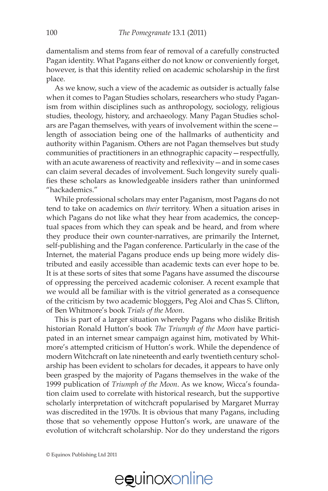damentalism and stems from fear of removal of a carefully constructed Pagan identity. What Pagans either do not know or conveniently forget, however, is that this identity relied on academic scholarship in the first place.

As we know, such a view of the academic as outsider is actually false when it comes to Pagan Studies scholars, researchers who study Paganism from within disciplines such as anthropology, sociology, religious studies, theology, history, and archaeology. Many Pagan Studies scholars are Pagan themselves, with years of involvement within the scene length of association being one of the hallmarks of authenticity and authority within Paganism. Others are not Pagan themselves but study communities of practitioners in an ethnographic capacity—respectfully, with an acute awareness of reactivity and reflexivity—and in some cases can claim several decades of involvement. Such longevity surely qualifies these scholars as knowledgeable insiders rather than uninformed "hackademics."

While professional scholars may enter Paganism, most Pagans do not tend to take on academics on *their* territory. When a situation arises in which Pagans do not like what they hear from academics, the conceptual spaces from which they can speak and be heard, and from where they produce their own counter-narratives, are primarily the Internet, self-publishing and the Pagan conference. Particularly in the case of the Internet, the material Pagans produce ends up being more widely distributed and easily accessible than academic texts can ever hope to be. It is at these sorts of sites that some Pagans have assumed the discourse of oppressing the perceived academic coloniser. A recent example that we would all be familiar with is the vitriol generated as a consequence of the criticism by two academic bloggers, Peg Aloi and Chas S. Clifton, of Ben Whitmore's book *Trials of the Moon*.

This is part of a larger situation whereby Pagans who dislike British historian Ronald Hutton's book *The Triumph of the Moon* have participated in an internet smear campaign against him, motivated by Whitmore's attempted criticism of Hutton's work. While the dependence of modern Witchcraft on late nineteenth and early twentieth century scholarship has been evident to scholars for decades, it appears to have only been grasped by the majority of Pagans themselves in the wake of the 1999 publication of *Triumph of the Moon*. As we know, Wicca's foundation claim used to correlate with historical research, but the supportive scholarly interpretation of witchcraft popularised by Margaret Murray was discredited in the 1970s. It is obvious that many Pagans, including those that so vehemently oppose Hutton's work, are unaware of the evolution of witchcraft scholarship. Nor do they understand the rigors

© Equinox Publishing Ltd 2011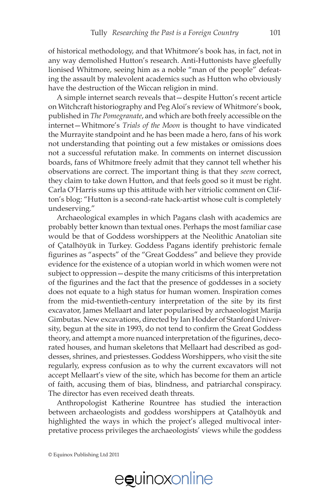of historical methodology, and that Whitmore's book has, in fact, not in any way demolished Hutton's research. Anti-Huttonists have gleefully lionised Whitmore, seeing him as a noble "man of the people" defeating the assault by malevolent academics such as Hutton who obviously have the destruction of the Wiccan religion in mind.

A simple internet search reveals that—despite Hutton's recent article on Witchcraft historiography and Peg Aloi's review of Whitmore's book, published in *The Pomegranate*, and which are both freely accessible on the internet—Whitmore's *Trials of the Moon* is thought to have vindicated the Murrayite standpoint and he has been made a hero, fans of his work not understanding that pointing out a few mistakes or omissions does not a successful refutation make. In comments on internet discussion boards, fans of Whitmore freely admit that they cannot tell whether his observations are correct. The important thing is that they *seem* correct, they claim to take down Hutton, and that feels good so it must be right. Carla O'Harris sums up this attitude with her vitriolic comment on Clifton's blog: "Hutton is a second-rate hack-artist whose cult is completely undeserving."

Archaeological examples in which Pagans clash with academics are probably better known than textual ones. Perhaps the most familiar case would be that of Goddess worshippers at the Neolithic Anatolian site of Çatalhöyük in Turkey. Goddess Pagans identify prehistoric female figurines as "aspects" of the "Great Goddess" and believe they provide evidence for the existence of a utopian world in which women were not subject to oppression—despite the many criticisms of this interpretation of the figurines and the fact that the presence of goddesses in a society does not equate to a high status for human women. Inspiration comes from the mid-twentieth-century interpretation of the site by its first excavator, James Mellaart and later popularised by archaeologist Marija Gimbutas. New excavations, directed by Ian Hodder of Stanford University, begun at the site in 1993, do not tend to confirm the Great Goddess theory, and attempt a more nuanced interpretation of the figurines, decorated houses, and human skeletons that Mellaart had described as goddesses, shrines, and priestesses. Goddess Worshippers, who visit the site regularly, express confusion as to why the current excavators will not accept Mellaart's view of the site, which has become for them an article of faith, accusing them of bias, blindness, and patriarchal conspiracy. The director has even received death threats.

Anthropologist Katherine Rountree has studied the interaction between archaeologists and goddess worshippers at Çatalhöyük and highlighted the ways in which the project's alleged multivocal interpretative process privileges the archaeologists' views while the goddess

© Equinox Publishing Ltd 2011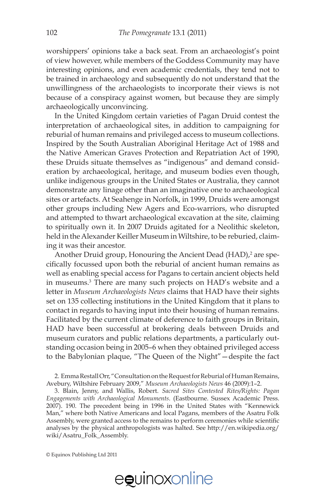worshippers' opinions take a back seat. From an archaeologist's point of view however, while members of the Goddess Community may have interesting opinions, and even academic credentials, they tend not to be trained in archaeology and subsequently do not understand that the unwillingness of the archaeologists to incorporate their views is not because of a conspiracy against women, but because they are simply archaeologically unconvincing.

In the United Kingdom certain varieties of Pagan Druid contest the interpretation of archaeological sites, in addition to campaigning for reburial of human remains and privileged access to museum collections. Inspired by the South Australian Aboriginal Heritage Act of 1988 and the Native American Graves Protection and Repatriation Act of 1990, these Druids situate themselves as "indigenous" and demand consideration by archaeological, heritage, and museum bodies even though, unlike indigenous groups in the United States or Australia, they cannot demonstrate any linage other than an imaginative one to archaeological sites or artefacts. At Seahenge in Norfolk, in 1999, Druids were amongst other groups including New Agers and Eco-warriors, who disrupted and attempted to thwart archaeological excavation at the site, claiming to spiritually own it. In 2007 Druids agitated for a Neolithic skeleton, held in the Alexander Keiller Museum in Wiltshire, to be reburied, claiming it was their ancestor.

Another Druid group, Honouring the Ancient Dead (HAD),<sup>2</sup> are specifically focussed upon both the reburial of ancient human remains as well as enabling special access for Pagans to certain ancient objects held in museums.<sup>3</sup> There are many such projects on HAD's website and a letter in *Museum Archaeologists News* claims that HAD have their sights set on 135 collecting institutions in the United Kingdom that it plans to contact in regards to having input into their housing of human remains. Facilitated by the current climate of deference to faith groups in Britain, HAD have been successful at brokering deals between Druids and museum curators and public relations departments, a particularly outstanding occasion being in 2005–6 when they obtained privileged access to the Babylonian plaque, "The Queen of the Night"—despite the fact

2. Emma Restall Orr, "Consultation on the Request for Reburial of Human Remains, Avebury, Wiltshire February 2009," *Museum Archaeologists News* 46 (2009):1–2.

3. Blain, Jenny, and Wallis, Robert. *Sacred Sites Contested Rites/Rights: Pagan Engagements with Archaeological Monuments*. (Eastbourne. Sussex Academic Press. 2007). 190. The precedent being in 1996 in the United States with "Kennewick Man," where both Native Americans and local Pagans, members of the Asatru Folk Assembly, were granted access to the remains to perform ceremonies while scientific analyses by the physical anthropologists was halted. See http://en.wikipedia.org/ wiki/Asatru\_Folk\_Assembly.

© Equinox Publishing Ltd 2011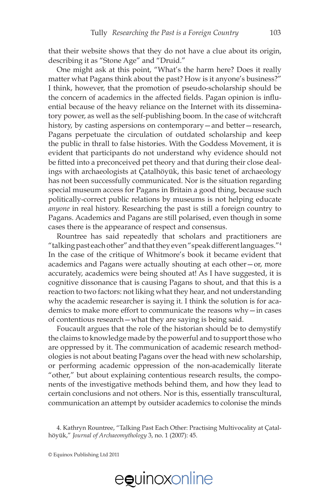that their website shows that they do not have a clue about its origin, describing it as "Stone Age" and "Druid."

One might ask at this point, "What's the harm here? Does it really matter what Pagans think about the past? How is it anyone's business?" I think, however, that the promotion of pseudo-scholarship should be the concern of academics in the affected fields. Pagan opinion is influential because of the heavy reliance on the Internet with its disseminatory power, as well as the self-publishing boom. In the case of witchcraft history, by casting aspersions on contemporary—and better—research, Pagans perpetuate the circulation of outdated scholarship and keep the public in thrall to false histories. With the Goddess Movement, it is evident that participants do not understand why evidence should not be fitted into a preconceived pet theory and that during their close dealings with archaeologists at Çatalhöyük, this basic tenet of archaeology has not been successfully communicated. Nor is the situation regarding special museum access for Pagans in Britain a good thing, because such politically-correct public relations by museums is not helping educate *anyone* in real history. Researching the past is still a foreign country to Pagans. Academics and Pagans are still polarised, even though in some cases there is the appearance of respect and consensus.

Rountree has said repeatedly that scholars and practitioners are "talking past each other" and that they even "speak different languages."4 In the case of the critique of Whitmore's book it became evident that academics and Pagans were actually shouting at each other—or, more accurately, academics were being shouted at! As I have suggested, it is cognitive dissonance that is causing Pagans to shout, and that this is a reaction to two factors: not liking what they hear, and not understanding why the academic researcher is saying it. I think the solution is for academics to make more effort to communicate the reasons why—in cases of contentious research—what they are saying is being said.

Foucault argues that the role of the historian should be to demystify the claims to knowledge made by the powerful and to support those who are oppressed by it. The communication of academic research methodologies is not about beating Pagans over the head with new scholarship, or performing academic oppression of the non-academically literate "other," but about explaining contentious research results, the components of the investigative methods behind them, and how they lead to certain conclusions and not others. Nor is this, essentially transcultural, communication an attempt by outsider academics to colonise the minds

4. Kathryn Rountree, "Talking Past Each Other: Practising Multivocality at Çatalhöyük," *Journal of Archaeomythology* 3, no. 1 (2007): 45.

© Equinox Publishing Ltd 2011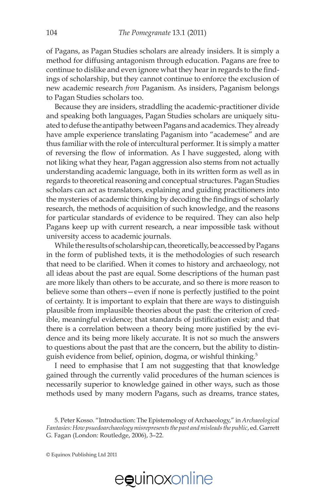of Pagans, as Pagan Studies scholars are already insiders. It is simply a method for diffusing antagonism through education. Pagans are free to continue to dislike and even ignore what they hear in regards to the findings of scholarship, but they cannot continue to enforce the exclusion of new academic research *from* Paganism. As insiders, Paganism belongs to Pagan Studies scholars too.

Because they are insiders, straddling the academic-practitioner divide and speaking both languages, Pagan Studies scholars are uniquely situated to defuse the antipathy between Pagans and academics. They already have ample experience translating Paganism into "academese" and are thus familiar with the role of intercultural performer. It is simply a matter of reversing the flow of information. As I have suggested, along with not liking what they hear, Pagan aggression also stems from not actually understanding academic language, both in its written form as well as in regards to theoretical reasoning and conceptual structures. Pagan Studies scholars can act as translators, explaining and guiding practitioners into the mysteries of academic thinking by decoding the findings of scholarly research, the methods of acquisition of such knowledge, and the reasons for particular standards of evidence to be required. They can also help Pagans keep up with current research, a near impossible task without university access to academic journals.

While the results of scholarship can, theoretically, be accessed by Pagans in the form of published texts, it is the methodologies of such research that need to be clarified. When it comes to history and archaeology, not all ideas about the past are equal. Some descriptions of the human past are more likely than others to be accurate, and so there is more reason to believe some than others—even if none is perfectly justified to the point of certainty. It is important to explain that there are ways to distinguish plausible from implausible theories about the past: the criterion of credible, meaningful evidence; that standards of justification exist; and that there is a correlation between a theory being more justified by the evidence and its being more likely accurate. It is not so much the answers to questions about the past that are the concern, but the ability to distinguish evidence from belief, opinion, dogma, or wishful thinking.5

I need to emphasise that I am not suggesting that that knowledge gained through the currently valid procedures of the human sciences is necessarily superior to knowledge gained in other ways, such as those methods used by many modern Pagans, such as dreams, trance states,

<sup>5.</sup> Peter Kosso. "Introduction: The Epistemology of Archaeology," in *Archaeological*  Fantasies: How psuedoarchaeology misrepresents the past and misleads the public, ed. Garrett G. Fagan (London: Routledge, 2006), 3–22.

<sup>©</sup> Equinox Publishing Ltd 2011